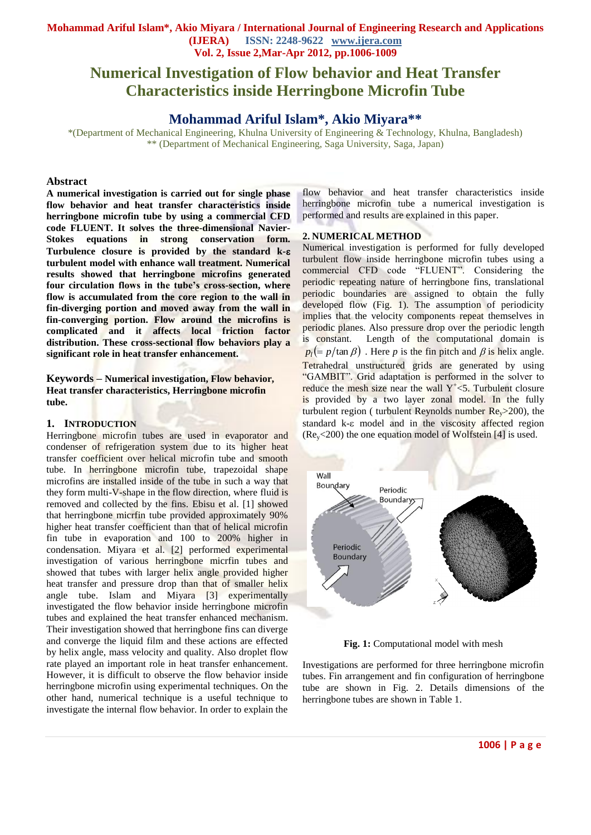# **Numerical Investigation of Flow behavior and Heat Transfer Characteristics inside Herringbone Microfin Tube**

# **Mohammad Ariful Islam\*, Akio Miyara\*\***

\*(Department of Mechanical Engineering, Khulna University of Engineering & Technology, Khulna, Bangladesh) \*\* (Department of Mechanical Engineering, Saga University, Saga, Japan)

#### **Abstract**

**A numerical investigation is carried out for single phase flow behavior and heat transfer characteristics inside herringbone microfin tube by using a commercial CFD code FLUENT. It solves the three-dimensional Navier-Stokes equations in strong conservation form. Turbulence closure is provided by the standard k turbulent model with enhance wall treatment. Numerical results showed that herringbone microfins generated four circulation flows in the tube's cross-section, where flow is accumulated from the core region to the wall in fin-diverging portion and moved away from the wall in fin-converging portion. Flow around the microfins is complicated and it affects local friction factor distribution. These cross-sectional flow behaviors play a significant role in heat transfer enhancement.**

**Keywords – Numerical investigation, Flow behavior, Heat transfer characteristics, Herringbone microfin tube.**

#### **1. INTRODUCTION**

Herringbone microfin tubes are used in evaporator and condenser of refrigeration system due to its higher heat transfer coefficient over helical microfin tube and smooth tube. In herringbone microfin tube, trapezoidal shape microfins are installed inside of the tube in such a way that they form multi-V-shape in the flow direction, where fluid is removed and collected by the fins. Ebisu et al. [1] showed that herringbone micrfin tube provided approximately 90% higher heat transfer coefficient than that of helical microfin fin tube in evaporation and 100 to 200% higher in condensation. Miyara et al. [2] performed experimental investigation of various herringbone micrfin tubes and showed that tubes with larger helix angle provided higher heat transfer and pressure drop than that of smaller helix angle tube. Islam and Miyara [3] experimentally investigated the flow behavior inside herringbone microfin tubes and explained the heat transfer enhanced mechanism. Their investigation showed that herringbone fins can diverge and converge the liquid film and these actions are effected by helix angle, mass velocity and quality. Also droplet flow rate played an important role in heat transfer enhancement. However, it is difficult to observe the flow behavior inside herringbone microfin using experimental techniques. On the other hand, numerical technique is a useful technique to investigate the internal flow behavior. In order to explain the

flow behavior and heat transfer characteristics inside herringbone microfin tube a numerical investigation is performed and results are explained in this paper.

#### **2. NUMERICAL METHOD**

Numerical investigation is performed for fully developed turbulent flow inside herringbone microfin tubes using a commercial CFD code "FLUENT". Considering the periodic repeating nature of herringbone fins, translational periodic boundaries are assigned to obtain the fully developed flow (Fig. 1). The assumption of periodicity implies that the velocity components repeat themselves in periodic planes. Also pressure drop over the periodic length is constant. Length of the computational domain is  $p_l (= p/\tan \beta)$ . Here *p* is the fin pitch and  $\beta$  is helix angle. Tetrahedral unstructured grids are generated by using "GAMBIT". Grid adaptation is performed in the solver to reduce the mesh size near the wall  $Y^{\dagger}$ <5. Turbulent closure is provided by a two layer zonal model. In the fully turbulent region ( turbulent Reynolds number  $Re<sub>v</sub>$  > 200), the standard  $k-\epsilon$  model and in the viscosity affected region  $(Re<sub>v</sub>< 200)$  the one equation model of Wolfstein [4] is used.



**Fig. 1:** Computational model with mesh

Investigations are performed for three herringbone microfin tubes. Fin arrangement and fin configuration of herringbone tube are shown in Fig. 2. Details dimensions of the herringbone tubes are shown in Table 1.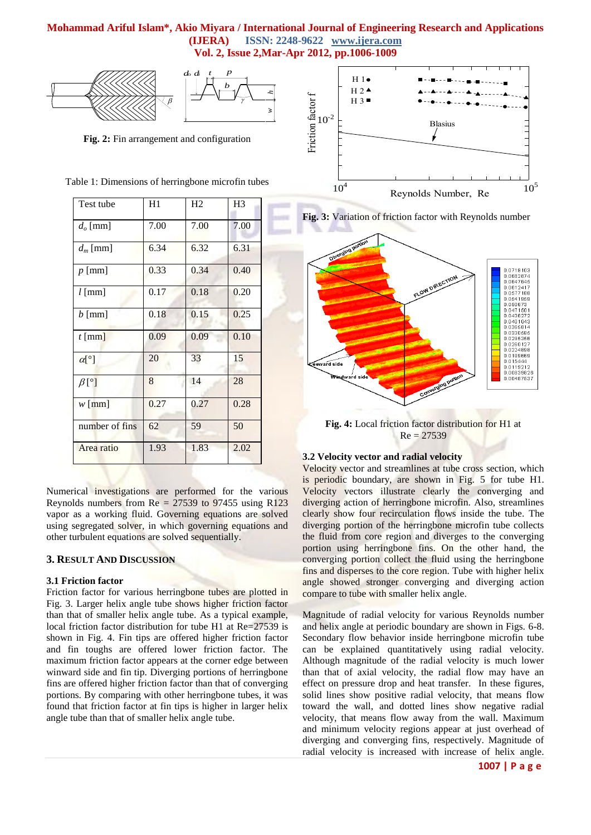*hw*



**Fig. 2:** Fin arrangement and configuration

| Table 1: Dimensions of herringbone microfin tubes |
|---------------------------------------------------|
|---------------------------------------------------|

| Test tube              | H1   | H2   | H <sub>3</sub> |
|------------------------|------|------|----------------|
| $d_o$ [mm]             | 7.00 | 7.00 | 7.00           |
| $d_m$ [mm]             | 6.34 | 6.32 | 6.31           |
| $p$ [mm]               | 0.33 | 0.34 | 0.40           |
| $l$ [mm]               | 0.17 | 0.18 | 0.20           |
| $b \text{[mm]}$        | 0.18 | 0.15 | 0.25           |
| $t$ [mm]               | 0.09 | 0.09 | 0.10           |
| $\alpha$ [°]           | 20   | 33   | 15             |
| $\beta$ [ $^{\circ}$ ] | 8    | 14   | 28             |
| $w$ [mm]               | 0.27 | 0.27 | 0.28           |
| number of fins         | 62   | 59   | 50             |
| Area ratio             | 1.93 | 1.83 | 2.02           |

Numerical investigations are performed for the various Reynolds numbers from  $Re = 27539$  to 97455 using R123 vapor as a working fluid. Governing equations are solved using segregated solver, in which governing equations and other turbulent equations are solved sequentially.

# **3. RESULT AND DISCUSSION**

#### **3.1 Friction factor**

Friction factor for various herringbone tubes are plotted in Fig. 3. Larger helix angle tube shows higher friction factor than that of smaller helix angle tube. As a typical example, local friction factor distribution for tube H1 at Re=27539 is shown in Fig. 4. Fin tips are offered higher friction factor and fin toughs are offered lower friction factor. The maximum friction factor appears at the corner edge between winward side and fin tip. Diverging portions of herringbone fins are offered higher friction factor than that of converging portions. By comparing with other herringbone tubes, it was found that friction factor at fin tips is higher in larger helix angle tube than that of smaller helix angle tube.







**Fig. 4:** Local friction factor distribution for H1 at  $Re = 27539$ 

### **3.2 Velocity vector and radial velocity**

Velocity vector and streamlines at tube cross section, which is periodic boundary, are shown in Fig. 5 for tube H1. Velocity vectors illustrate clearly the converging and diverging action of herringbone microfin. Also, streamlines clearly show four recirculation flows inside the tube. The diverging portion of the herringbone microfin tube collects the fluid from core region and diverges to the converging portion using herringbone fins. On the other hand, the converging portion collect the fluid using the herringbone fins and disperses to the core region. Tube with higher helix angle showed stronger converging and diverging action compare to tube with smaller helix angle.

Magnitude of radial velocity for various Reynolds number and helix angle at periodic boundary are shown in Figs. 6-8. Secondary flow behavior inside herringbone microfin tube can be explained quantitatively using radial velocity. Although magnitude of the radial velocity is much lower than that of axial velocity, the radial flow may have an effect on pressure drop and heat transfer. In these figures, solid lines show positive radial velocity, that means flow toward the wall, and dotted lines show negative radial velocity, that means flow away from the wall. Maximum and minimum velocity regions appear at just overhead of diverging and converging fins, respectively. Magnitude of radial velocity is increased with increase of helix angle.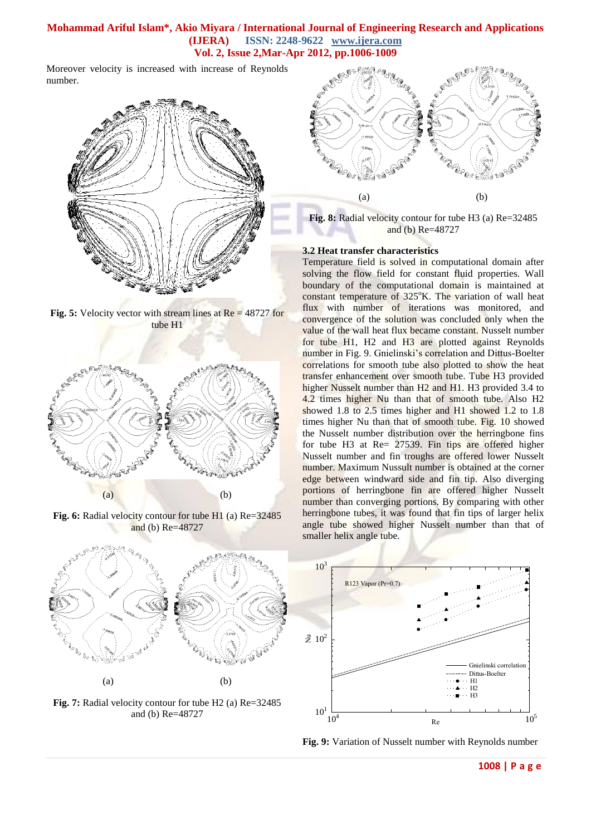Moreover velocity is increased with increase of Reynolds number.



**Fig. 5:** Velocity vector with stream lines at Re = 48727 for tube H1



**Fig. 6:** Radial velocity contour for tube H1 (a) Re=32485 and (b) Re=48727



**Fig. 7:** Radial velocity contour for tube H2 (a) Re=32485 and (b) Re=48727



**Fig. 8:** Radial velocity contour for tube H3 (a) Re=32485 and (b) Re=48727

#### **3.2 Heat transfer characteristics**

Temperature field is solved in computational domain after solving the flow field for constant fluid properties. Wall boundary of the computational domain is maintained at constant temperature of  $325^{\circ}$ K. The variation of wall heat flux with number of iterations was monitored, and convergence of the solution was concluded only when the value of the wall heat flux became constant. Nusselt number for tube H1, H2 and H3 are plotted against Reynolds number in Fig. 9. Gnielinski's correlation and Dittus-Boelter correlations for smooth tube also plotted to show the heat transfer enhancement over smooth tube. Tube H3 provided higher Nusselt number than H<sub>2</sub> and H<sub>1</sub>. H<sub>3</sub> provided 3.4 to 4.2 times higher Nu than that of smooth tube. Also H2 showed 1.8 to 2.5 times higher and H1 showed 1.2 to 1.8 times higher Nu than that of smooth tube. Fig. 10 showed the Nusselt number distribution over the herringbone fins for tube H3 at Re= 27539. Fin tips are offered higher Nusselt number and fin troughs are offered lower Nusselt number. Maximum Nussult number is obtained at the corner edge between windward side and fin tip. Also diverging portions of herringbone fin are offered higher Nusselt number than converging portions. By comparing with other herringbone tubes, it was found that fin tips of larger helix angle tube showed higher Nusselt number than that of smaller helix angle tube.



**Fig. 9:** Variation of Nusselt number with Reynolds number